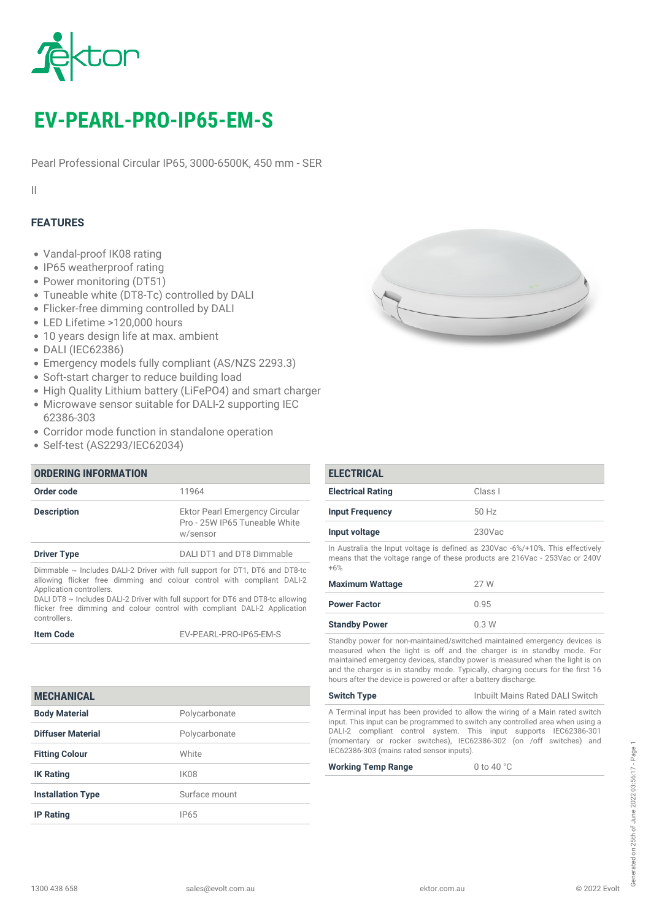

# *EV-PEARL-PRO-IP65-EM-S*

*Pearl Professional Circular IP65, 3000-6500K, 450 mm - SER*

*II*

# *FEATURES*

- *Vandal-proof IK08 rating*
- *IP65 weatherproof rating*
- *Power monitoring (DT51)*
- *Tuneable white (DT8-Tc) controlled by DALI*
- *Flicker-free dimming controlled by DALI*
- *LED Lifetime >120,000 hours*
- *10 years design life at max. ambient*
- *DALI (IEC62386)*
- *Emergency models fully compliant (AS/NZS 2293.3)*
- *Soft-start charger to reduce building load*
- *High Quality Lithium battery (LiFePO4) and smart charger*
- *Microwave sensor suitable for DALI-2 supporting IEC 62386-303*
- *Corridor mode function in standalone operation*
- *Self-test (AS2293/IEC62034)*

# *ORDERING INFORMATION Order code 11964 Description Ektor Pearl Emergency Circular Pro - 25W IP65 Tuneable White w/sensor Driver Type DALI DT1 and DT8 Dimmable Dimmable ~ Includes DALI-2 Driver with full support for DT1, DT6 and DT8-tc allowing flicker free dimming and colour control with compliant DALI-2*

*Application controllers. DALI DT8 ~ Includes DALI-2 Driver with full support for DT6 and DT8-tc allowing flicker free dimming and colour control with compliant DALI-2 Application controllers.*

*Item Code EV-PEARL-PRO-IP65-EM-S*

# *MECHANICAL*

| <b>Body Material</b>     | Polycarbonate |
|--------------------------|---------------|
| <b>Diffuser Material</b> | Polycarbonate |
| <b>Fitting Colour</b>    | White         |
| <b>IK Rating</b>         | IK08          |
| <b>Installation Type</b> | Surface mount |
| <b>IP Rating</b>         | IP65          |



| <b>ELECTRICAL</b>                                                              |           |
|--------------------------------------------------------------------------------|-----------|
| <b>Electrical Rating</b>                                                       | Class I   |
| <b>Input Frequency</b>                                                         | $50$ Hz   |
| Input voltage                                                                  | $230$ Vac |
| In Australia the Input voltage is defined as 230Vac -6%/+10%. This effectively |           |

*means that the voltage range of these products are 216Vac - 253Vac or 240V +6%*

| <b>Maximum Wattage</b> | 27 W |
|------------------------|------|
| <b>Power Factor</b>    | 0.95 |
| <b>Standby Power</b>   | 0.3W |

*Standby power for non-maintained/switched maintained emergency devices is measured when the light is off and the charger is in standby mode. For maintained emergency devices, standby power is measured when the light is on and the charger is in standby mode. Typically, charging occurs for the first 16 hours after the device is powered or after a battery discharge.*

*Switch Type Inbuilt Mains Rated DALI Switch*

*A Terminal input has been provided to allow the wiring of a Main rated switch input. This input can be programmed to switch any controlled area when using a DALI-2 compliant control system. This input supports IEC62386-301 (momentary or rocker switches), IEC62386-302 (on /off switches) and IEC62386-303 (mains rated sensor inputs).*

*Working Temp Range 0 to 40 °C*

à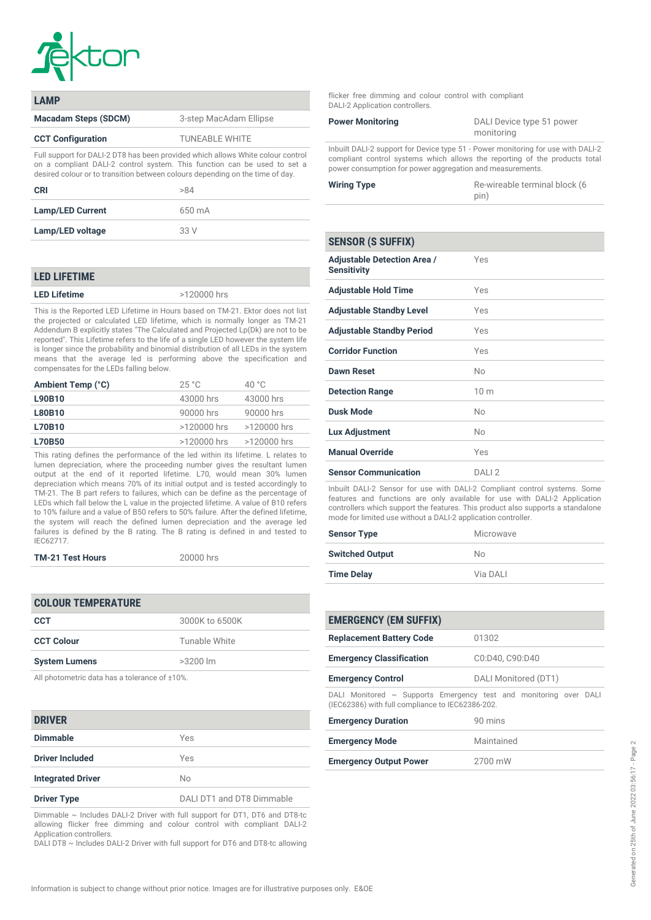

| I AMP                                                                                                                                                                                                                                        |                        |
|----------------------------------------------------------------------------------------------------------------------------------------------------------------------------------------------------------------------------------------------|------------------------|
| <b>Macadam Steps (SDCM)</b>                                                                                                                                                                                                                  | 3-step MacAdam Ellipse |
| <b>CCT Configuration</b>                                                                                                                                                                                                                     | <b>TUNEABLE WHITE</b>  |
| Full support for DALI-2 DT8 has been provided which allows White colour control<br>on a compliant DALI-2 control system. This function can be used to set a<br>desired colour or to transition between colours depending on the time of day. |                        |

| CRI                     | >84    |
|-------------------------|--------|
| <b>Lamp/LED Current</b> | 650 mA |
| Lamp/LED voltage        | 33 V   |

### *LED LIFETIME*

*LED Lifetime >120000 hrs*

*This is the Reported LED Lifetime in Hours based on TM-21. Ektor does not list the projected or calculated LED lifetime, which is normally longer as TM-21 Addendum B explicitly states "The Calculated and Projected Lp(Dk) are not to be reported". This Lifetime refers to the life of a single LED however the system life is longer since the probability and binomial distribution of all LEDs in the system means that the average led is performing above the specification and compensates for the LEDs falling below.*

| Ambient Temp (°C) | 25 °C         | 40 $^{\circ}$ C |
|-------------------|---------------|-----------------|
| L90B10            | 43000 hrs     | 43000 hrs       |
| <b>L80B10</b>     | 90000 hrs     | 90000 hrs       |
| L70B10            | >120000 hrs   | >120000 hrs     |
| <b>L70B50</b>     | $>120000$ hrs | >120000 hrs     |
|                   |               |                 |

*This rating defines the performance of the led within its lifetime. L relates to lumen depreciation, where the proceeding number gives the resultant lumen output at the end of it reported lifetime. L70, would mean 30% lumen depreciation which means 70% of its initial output and is tested accordingly to TM-21. The B part refers to failures, which can be define as the percentage of LEDs which fall below the L value in the projected lifetime. A value of B10 refers to 10% failure and a value of B50 refers to 50% failure. After the defined lifetime, the system will reach the defined lumen depreciation and the average led failures is defined by the B rating. The B rating is defined in and tested to IEC62717.*

|  | <b>TM-21 Test Hours</b> |  |
|--|-------------------------|--|
|--|-------------------------|--|

*TM-21 Test Hours 20000 hrs*

| <b>COLOUR TEMPERATURE</b> |                |
|---------------------------|----------------|
| <b>CCT</b>                | 3000K to 6500K |
| <b>CCT Colour</b>         | Tunable White  |
| <b>System Lumens</b>      | $>3200$ lm     |
|                           |                |

*All photometric data has a tolerance of ±10%.*

### *DRIVER*

| ------                   |                           |
|--------------------------|---------------------------|
| <b>Dimmable</b>          | Yes                       |
| <b>Driver Included</b>   | Yes                       |
| <b>Integrated Driver</b> | No                        |
| <b>Driver Type</b>       | DALI DT1 and DT8 Dimmable |

*Dimmable ~ Includes DALI-2 Driver with full support for DT1, DT6 and DT8-tc allowing flicker free dimming and colour control with compliant DALI-2 Application controllers.*

*DALI DT8 ~ Includes DALI-2 Driver with full support for DT6 and DT8-tc allowing*

*flicker free dimming and colour control with compliant DALI-2 Application controllers.*

| <b>Power Monitoring</b>                                                       | DALI Device type 51 power |  |
|-------------------------------------------------------------------------------|---------------------------|--|
|                                                                               | monitoring                |  |
| Inbuilt DAI I-2 support for Device type 51 - Power monitoring for use with DA |                           |  |

*Inbuilt DALI-2 support for Device type 51 - Power monitoring for use with DALI-2 compliant control systems which allows the reporting of the products total power consumption for power aggregation and measurements.*

| <b>Wiring Type</b> | Re-wireable terminal block (6 |
|--------------------|-------------------------------|
|                    | pin)                          |

| <b>SENSOR (S SUFFIX)</b>                                 |                 |
|----------------------------------------------------------|-----------------|
| <b>Adjustable Detection Area /</b><br><b>Sensitivity</b> | Yes             |
| <b>Adjustable Hold Time</b>                              | Yes             |
| <b>Adjustable Standby Level</b>                          | Yes             |
| <b>Adjustable Standby Period</b>                         | Yes             |
| <b>Corridor Function</b>                                 | Yes             |
| <b>Dawn Reset</b>                                        | No              |
| <b>Detection Range</b>                                   | 10 <sub>m</sub> |
| <b>Dusk Mode</b>                                         | <b>No</b>       |
| <b>Lux Adjustment</b>                                    | No              |
| <b>Manual Override</b>                                   | Yes             |
| <b>Sensor Communication</b>                              | DAII2           |

*Inbuilt DALI-2 Sensor for use with DALI-2 Compliant control systems. Some features and functions are only available for use with DALI-2 Application controllers which support the features. This product also supports a standalone mode for limited use without a DALI-2 application controller.*

| <b>Sensor Type</b>     | Microwave |
|------------------------|-----------|
| <b>Switched Output</b> | No.       |
| <b>Time Delay</b>      | Via DALI  |

| <b>EMERGENCY (EM SUFFIX)</b>                                                                                               |                      |  |
|----------------------------------------------------------------------------------------------------------------------------|----------------------|--|
| <b>Replacement Battery Code</b>                                                                                            | 01302                |  |
| <b>Emergency Classification</b>                                                                                            | C0:D40, C90:D40      |  |
| <b>Emergency Control</b>                                                                                                   | DALI Monitored (DT1) |  |
| DALI Monitored $\sim$ Supports Emergency test and monitoring over DALI<br>(IEC62386) with full compliance to IEC62386-202. |                      |  |

| 90 mins    |
|------------|
| Maintained |
| 2700 mW    |
|            |